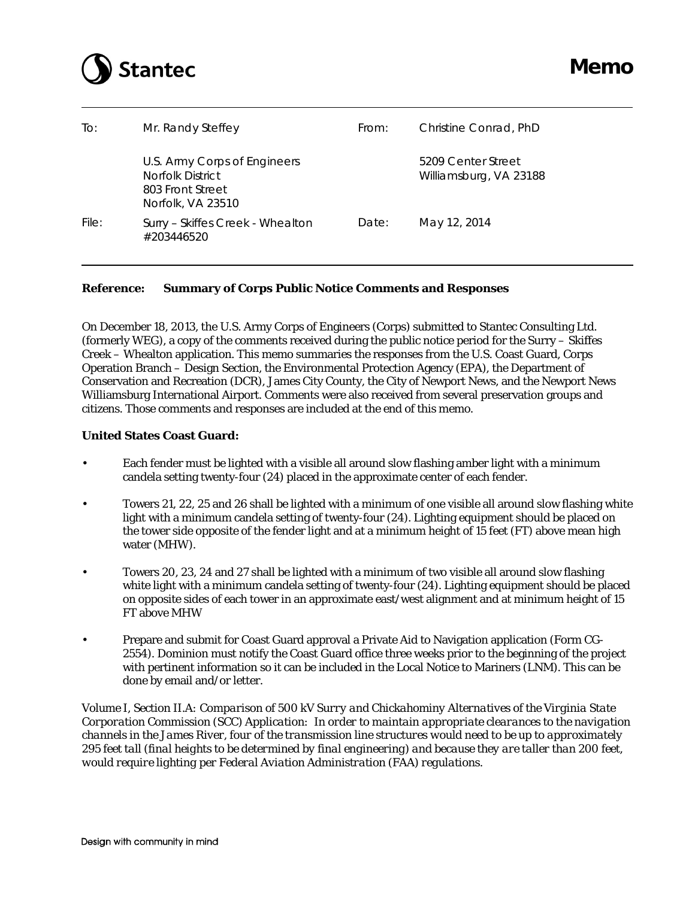

| To:   | Mr. Randy Steffey                                                                         | From: | Christine Conrad, PhD                        |
|-------|-------------------------------------------------------------------------------------------|-------|----------------------------------------------|
|       | U.S. Army Corps of Engineers<br>Norfolk District<br>803 Front Street<br>Norfolk, VA 23510 |       | 5209 Center Street<br>Williamsburg, VA 23188 |
| File: | Surry - Skiffes Creek - Whealton<br>#203446520                                            | Date: | May 12, 2014                                 |

On December 18, 2013, the U.S. Army Corps of Engineers (Corps) submitted to Stantec Consulting Ltd. (formerly WEG), a copy of the comments received during the public notice period for the Surry – Skiffes Creek – Whealton application. This memo summaries the responses from the U.S. Coast Guard, Corps Operation Branch – Design Section, the Environmental Protection Agency (EPA), the Department of Conservation and Recreation (DCR), James City County, the City of Newport News, and the Newport News Williamsburg International Airport. Comments were also received from several preservation groups and citizens. Those comments and responses are included at the end of this memo.

# **United States Coast Guard:**

- Each fender must be lighted with a visible all around slow flashing amber light with a minimum candela setting twenty-four (24) placed in the approximate center of each fender.
- Towers 21, 22, 25 and 26 shall be lighted with a minimum of one visible all around slow flashing white light with a minimum candela setting of twenty-four (24). Lighting equipment should be placed on the tower side opposite of the fender light and at a minimum height of 15 feet (FT) above mean high water (MHW).
- Towers 20, 23, 24 and 27 shall be lighted with a minimum of two visible all around slow flashing white light with a minimum candela setting of twenty-four (24). Lighting equipment should be placed on opposite sides of each tower in an approximate east/west alignment and at minimum height of 15 FT above MHW
- Prepare and submit for Coast Guard approval a Private Aid to Navigation application (Form CG-2554). Dominion must notify the Coast Guard office three weeks prior to the beginning of the project with pertinent information so it can be included in the Local Notice to Mariners (LNM). This can be done by email and/or letter.

*Volume I, Section II.A: Comparison of 500 kV Surry and Chickahominy Alternatives of the Virginia State Corporation Commission (SCC) Application: In order to maintain appropriate clearances to the navigation channels in the James River, four of the transmission line structures would need to be up to approximately 295 feet tall (final heights to be determined by final engineering) and because they are taller than 200 feet, would require lighting per Federal Aviation Administration (FAA) regulations.*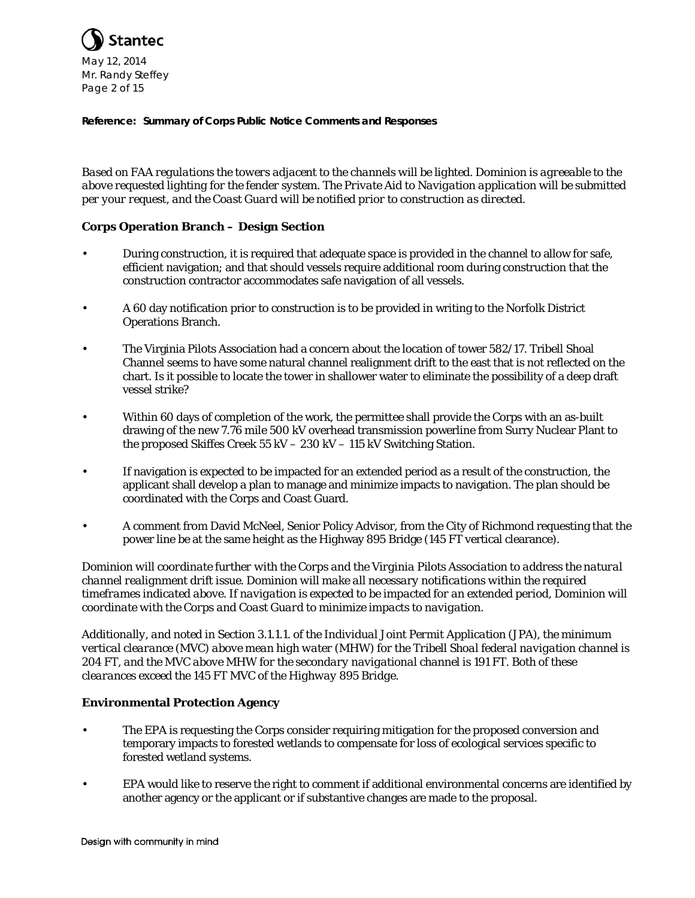

*Based on FAA regulations the towers adjacent to the channels will be lighted. Dominion is agreeable to the above requested lighting for the fender system. The Private Aid to Navigation application will be submitted per your request, and the Coast Guard will be notified prior to construction as directed.*

# **Corps Operation Branch – Design Section**

- During construction, it is required that adequate space is provided in the channel to allow for safe, efficient navigation; and that should vessels require additional room during construction that the construction contractor accommodates safe navigation of all vessels.
- A 60 day notification prior to construction is to be provided in writing to the Norfolk District Operations Branch.
- The Virginia Pilots Association had a concern about the location of tower 582/17. Tribell Shoal Channel seems to have some natural channel realignment drift to the east that is not reflected on the chart. Is it possible to locate the tower in shallower water to eliminate the possibility of a deep draft vessel strike?
- Within 60 days of completion of the work, the permittee shall provide the Corps with an as-built drawing of the new 7.76 mile 500 kV overhead transmission powerline from Surry Nuclear Plant to the proposed Skiffes Creek 55 kV – 230 kV – 115 kV Switching Station.
- If navigation is expected to be impacted for an extended period as a result of the construction, the applicant shall develop a plan to manage and minimize impacts to navigation. The plan should be coordinated with the Corps and Coast Guard.
- A comment from David McNeel, Senior Policy Advisor, from the City of Richmond requesting that the power line be at the same height as the Highway 895 Bridge (145 FT vertical clearance).

*Dominion will coordinate further with the Corps and the Virginia Pilots Association to address the natural channel realignment drift issue. Dominion will make all necessary notifications within the required timeframes indicated above. If navigation is expected to be impacted for an extended period, Dominion will coordinate with the Corps and Coast Guard to minimize impacts to navigation.* 

*Additionally, and noted in Section 3.1.1.1. of the Individual Joint Permit Application (JPA), the minimum vertical clearance (MVC) above mean high water (MHW) for the Tribell Shoal federal navigation channel is 204 FT, and the MVC above MHW for the secondary navigational channel is 191 FT. Both of these clearances exceed the 145 FT MVC of the Highway 895 Bridge.*

# **Environmental Protection Agency**

- The EPA is requesting the Corps consider requiring mitigation for the proposed conversion and temporary impacts to forested wetlands to compensate for loss of ecological services specific to forested wetland systems.
- EPA would like to reserve the right to comment if additional environmental concerns are identified by another agency or the applicant or if substantive changes are made to the proposal.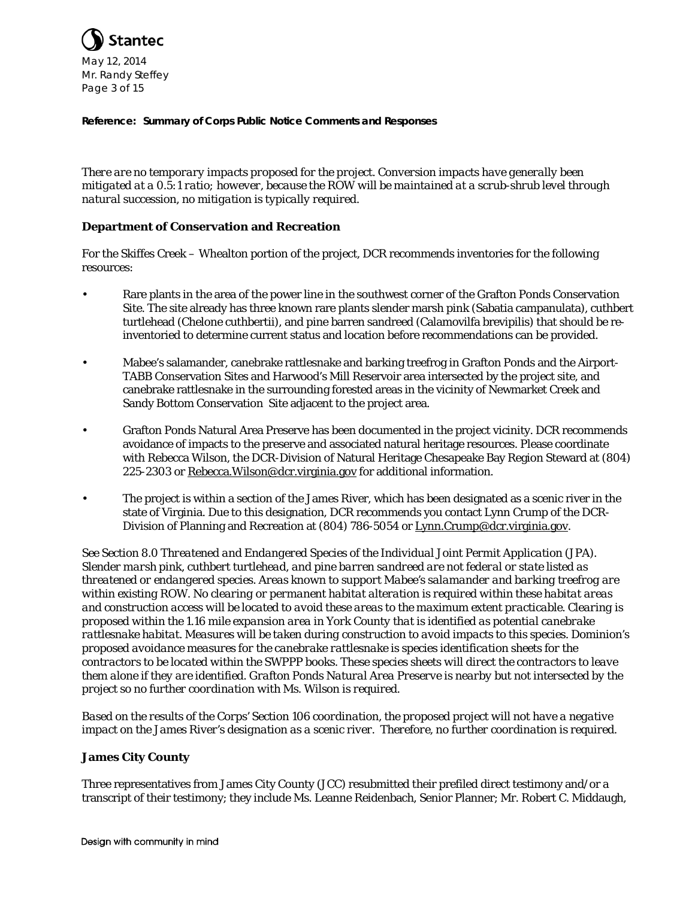

*There are no temporary impacts proposed for the project. Conversion impacts have generally been mitigated at a 0.5:1 ratio; however, because the ROW will be maintained at a scrub-shrub level through natural succession, no mitigation is typically required.* 

# **Department of Conservation and Recreation**

For the Skiffes Creek – Whealton portion of the project, DCR recommends inventories for the following resources:

- Rare plants in the area of the power line in the southwest corner of the Grafton Ponds Conservation Site. The site already has three known rare plants slender marsh pink (Sabatia campanulata), cuthbert turtlehead (Chelone cuthbertii), and pine barren sandreed (Calamovilfa brevipilis) that should be reinventoried to determine current status and location before recommendations can be provided.
- Mabee's salamander, canebrake rattlesnake and barking treefrog in Grafton Ponds and the Airport-TABB Conservation Sites and Harwood's Mill Reservoir area intersected by the project site, and canebrake rattlesnake in the surrounding forested areas in the vicinity of Newmarket Creek and Sandy Bottom Conservation Site adjacent to the project area.
- Grafton Ponds Natural Area Preserve has been documented in the project vicinity. DCR recommends avoidance of impacts to the preserve and associated natural heritage resources. Please coordinate with Rebecca Wilson, the DCR-Division of Natural Heritage Chesapeake Bay Region Steward at (804) 225-2303 or Rebecca.Wilson@dcr.virginia.gov for additional information.
- The project is within a section of the James River, which has been designated as a scenic river in the state of Virginia. Due to this designation, DCR recommends you contact Lynn Crump of the DCR-Division of Planning and Recreation at (804) 786-5054 or Lynn.Crump@dcr.virginia.gov.

*See Section 8.0 Threatened and Endangered Species of the Individual Joint Permit Application (JPA). Slender marsh pink, cuthbert turtlehead, and pine barren sandreed are not federal or state listed as threatened or endangered species. Areas known to support Mabee's salamander and barking treefrog are within existing ROW. No clearing or permanent habitat alteration is required within these habitat areas and construction access will be located to avoid these areas to the maximum extent practicable. Clearing is proposed within the 1.16 mile expansion area in York County that is identified as potential canebrake rattlesnake habitat. Measures will be taken during construction to avoid impacts to this species. Dominion's proposed avoidance measures for the canebrake rattlesnake is species identification sheets for the contractors to be located within the SWPPP books. These species sheets will direct the contractors to leave them alone if they are identified. Grafton Ponds Natural Area Preserve is nearby but not intersected by the project so no further coordination with Ms. Wilson is required.* 

*Based on the results of the Corps' Section 106 coordination, the proposed project will not have a negative impact on the James River's designation as a scenic river. Therefore, no further coordination is required.*

# **James City County**

Three representatives from James City County (JCC) resubmitted their prefiled direct testimony and/or a transcript of their testimony; they include Ms. Leanne Reidenbach, Senior Planner; Mr. Robert C. Middaugh,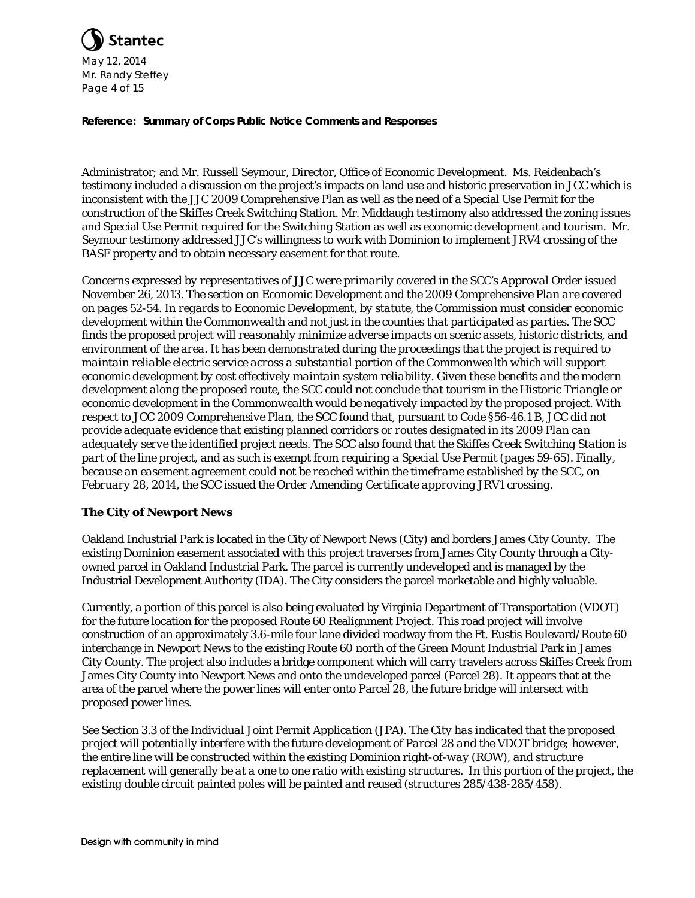

Administrator; and Mr. Russell Seymour, Director, Office of Economic Development. Ms. Reidenbach's testimony included a discussion on the project's impacts on land use and historic preservation in JCC which is inconsistent with the JJC 2009 Comprehensive Plan as well as the need of a Special Use Permit for the construction of the Skiffes Creek Switching Station. Mr. Middaugh testimony also addressed the zoning issues and Special Use Permit required for the Switching Station as well as economic development and tourism. Mr. Seymour testimony addressed JJC's willingness to work with Dominion to implement JRV4 crossing of the BASF property and to obtain necessary easement for that route.

*Concerns expressed by representatives of JJC were primarily covered in the SCC's Approval Order issued November 26, 2013. The section on Economic Development and the 2009 Comprehensive Plan are covered on pages 52-54. In regards to Economic Development, by statute, the Commission must consider economic development within the Commonwealth and not just in the counties that participated as parties. The SCC finds the proposed project will reasonably minimize adverse impacts on scenic assets, historic districts, and environment of the area. It has been demonstrated during the proceedings that the project is required to maintain reliable electric service across a substantial portion of the Commonwealth which will support economic development by cost effectively maintain system reliability. Given these benefits and the modern development along the proposed route, the SCC could not conclude that tourism in the Historic Triangle or economic development in the Commonwealth would be negatively impacted by the proposed project. With respect to JCC 2009 Comprehensive Plan, the SCC found that, pursuant to Code §56-46.1 B, JCC did not provide adequate evidence that existing planned corridors or routes designated in its 2009 Plan can adequately serve the identified project needs. The SCC also found that the Skiffes Creek Switching Station is part of the line project, and as such is exempt from requiring a Special Use Permit (pages 59-65). Finally, because an easement agreement could not be reached within the timeframe established by the SCC, on February 28, 2014, the SCC issued the Order Amending Certificate approving JRV1 crossing.*

# **The City of Newport News**

Oakland Industrial Park is located in the City of Newport News (City) and borders James City County. The existing Dominion easement associated with this project traverses from James City County through a Cityowned parcel in Oakland Industrial Park. The parcel is currently undeveloped and is managed by the Industrial Development Authority (IDA). The City considers the parcel marketable and highly valuable.

Currently, a portion of this parcel is also being evaluated by Virginia Department of Transportation (VDOT) for the future location for the proposed Route 60 Realignment Project. This road project will involve construction of an approximately 3.6-mile four lane divided roadway from the Ft. Eustis Boulevard/Route 60 interchange in Newport News to the existing Route 60 north of the Green Mount Industrial Park in James City County. The project also includes a bridge component which will carry travelers across Skiffes Creek from James City County into Newport News and onto the undeveloped parcel (Parcel 28). It appears that at the area of the parcel where the power lines will enter onto Parcel 28, the future bridge will intersect with proposed power lines.

*See Section 3.3 of the Individual Joint Permit Application (JPA). The City has indicated that the proposed project will potentially interfere with the future development of Parcel 28 and the VDOT bridge; however, the entire line will be constructed within the existing Dominion right-of-way (ROW), and structure replacement will generally be at a one to one ratio with existing structures. In this portion of the project, the existing double circuit painted poles will be painted and reused (structures 285/438-285/458).*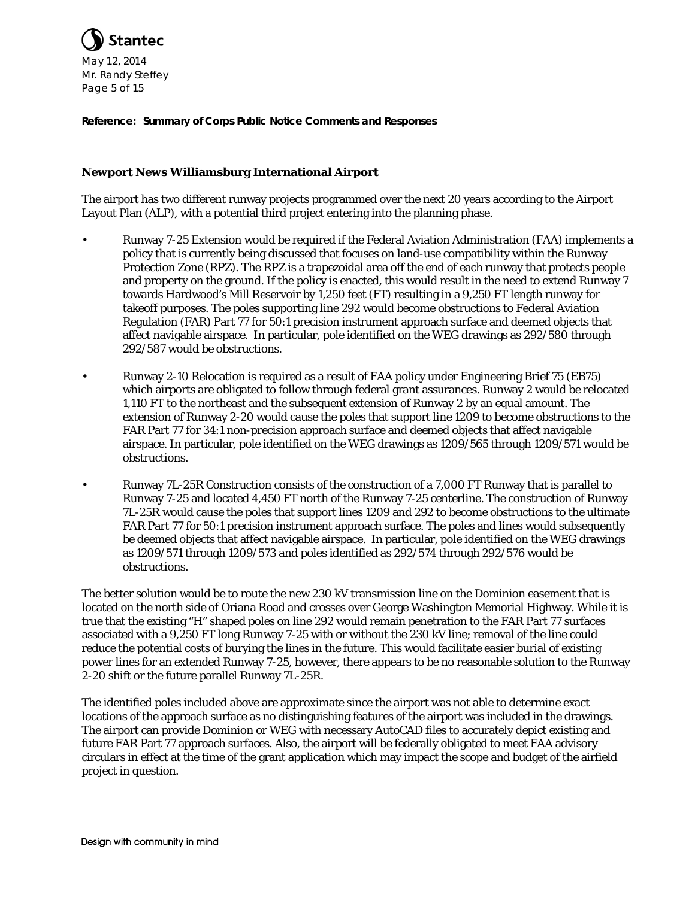

# **Newport News Williamsburg International Airport**

The airport has two different runway projects programmed over the next 20 years according to the Airport Layout Plan (ALP), with a potential third project entering into the planning phase.

- Runway 7-25 Extension would be required if the Federal Aviation Administration (FAA) implements a policy that is currently being discussed that focuses on land-use compatibility within the Runway Protection Zone (RPZ). The RPZ is a trapezoidal area off the end of each runway that protects people and property on the ground. If the policy is enacted, this would result in the need to extend Runway 7 towards Hardwood's Mill Reservoir by 1,250 feet (FT) resulting in a 9,250 FT length runway for takeoff purposes. The poles supporting line 292 would become obstructions to Federal Aviation Regulation (FAR) Part 77 for 50:1 precision instrument approach surface and deemed objects that affect navigable airspace. In particular, pole identified on the WEG drawings as 292/580 through 292/587 would be obstructions.
- Runway 2-10 Relocation is required as a result of FAA policy under Engineering Brief 75 (EB75) which airports are obligated to follow through federal grant assurances. Runway 2 would be relocated 1,110 FT to the northeast and the subsequent extension of Runway 2 by an equal amount. The extension of Runway 2-20 would cause the poles that support line 1209 to become obstructions to the FAR Part 77 for 34:1 non-precision approach surface and deemed objects that affect navigable airspace. In particular, pole identified on the WEG drawings as 1209/565 through 1209/571 would be obstructions.
- Runway 7L-25R Construction consists of the construction of a 7,000 FT Runway that is parallel to Runway 7-25 and located 4,450 FT north of the Runway 7-25 centerline. The construction of Runway 7L-25R would cause the poles that support lines 1209 and 292 to become obstructions to the ultimate FAR Part 77 for 50:1 precision instrument approach surface. The poles and lines would subsequently be deemed objects that affect navigable airspace. In particular, pole identified on the WEG drawings as 1209/571 through 1209/573 and poles identified as 292/574 through 292/576 would be obstructions.

The better solution would be to route the new 230 kV transmission line on the Dominion easement that is located on the north side of Oriana Road and crosses over George Washington Memorial Highway. While it is true that the existing "H" shaped poles on line 292 would remain penetration to the FAR Part 77 surfaces associated with a 9,250 FT long Runway 7-25 with or without the 230 kV line; removal of the line could reduce the potential costs of burying the lines in the future. This would facilitate easier burial of existing power lines for an extended Runway 7-25, however, there appears to be no reasonable solution to the Runway 2-20 shift or the future parallel Runway 7L-25R.

The identified poles included above are approximate since the airport was not able to determine exact locations of the approach surface as no distinguishing features of the airport was included in the drawings. The airport can provide Dominion or WEG with necessary AutoCAD files to accurately depict existing and future FAR Part 77 approach surfaces. Also, the airport will be federally obligated to meet FAA advisory circulars in effect at the time of the grant application which may impact the scope and budget of the airfield project in question.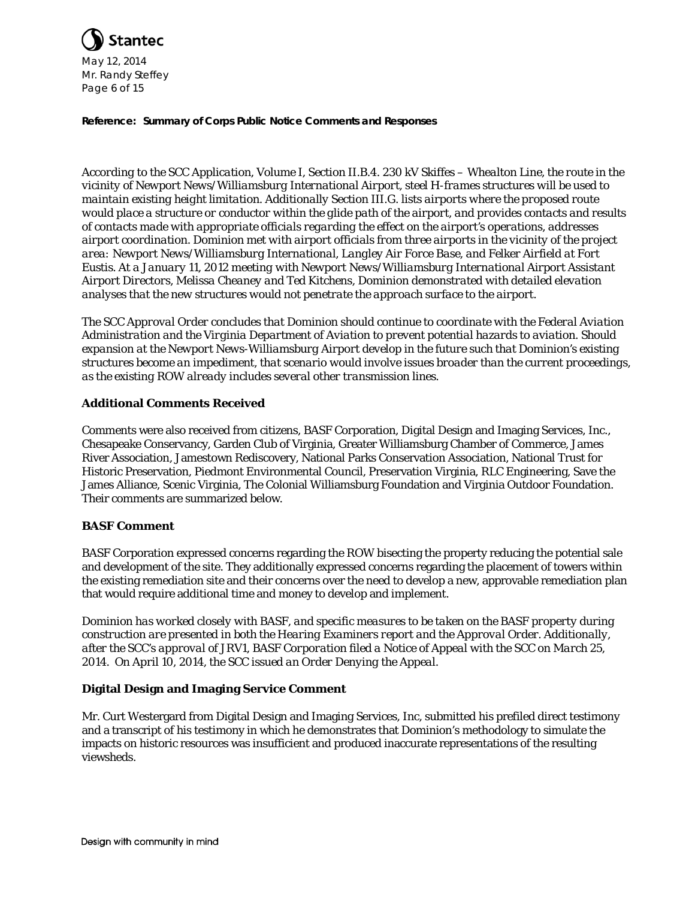

*According to the SCC Application, Volume I, Section II.B.4. 230 kV Skiffes – Whealton Line, the route in the vicinity of Newport News/Williamsburg International Airport, steel H-frames structures will be used to maintain existing height limitation. Additionally Section III.G. lists airports where the proposed route would place a structure or conductor within the glide path of the airport, and provides contacts and results of contacts made with appropriate officials regarding the effect on the airport's operations, addresses airport coordination. Dominion met with airport officials from three airports in the vicinity of the project area: Newport News/Williamsburg International, Langley Air Force Base, and Felker Airfield at Fort Eustis. At a January 11, 2012 meeting with Newport News/Williamsburg International Airport Assistant Airport Directors, Melissa Cheaney and Ted Kitchens, Dominion demonstrated with detailed elevation analyses that the new structures would not penetrate the approach surface to the airport.*

*The SCC Approval Order concludes that Dominion should continue to coordinate with the Federal Aviation Administration and the Virginia Department of Aviation to prevent potential hazards to aviation. Should expansion at the Newport News-Williamsburg Airport develop in the future such that Dominion's existing structures become an impediment, that scenario would involve issues broader than the current proceedings, as the existing ROW already includes several other transmission lines.*

# **Additional Comments Received**

Comments were also received from citizens, BASF Corporation, Digital Design and Imaging Services, Inc., Chesapeake Conservancy, Garden Club of Virginia, Greater Williamsburg Chamber of Commerce, James River Association, Jamestown Rediscovery, National Parks Conservation Association, National Trust for Historic Preservation, Piedmont Environmental Council, Preservation Virginia, RLC Engineering, Save the James Alliance, Scenic Virginia, The Colonial Williamsburg Foundation and Virginia Outdoor Foundation. Their comments are summarized below.

# **BASF Comment**

BASF Corporation expressed concerns regarding the ROW bisecting the property reducing the potential sale and development of the site. They additionally expressed concerns regarding the placement of towers within the existing remediation site and their concerns over the need to develop a new, approvable remediation plan that would require additional time and money to develop and implement.

*Dominion has worked closely with BASF, and specific measures to be taken on the BASF property during construction are presented in both the Hearing Examiners report and the Approval Order. Additionally, after the SCC's approval of JRV1, BASF Corporation filed a Notice of Appeal with the SCC on March 25, 2014. On April 10, 2014, the SCC issued an Order Denying the Appeal.*

# **Digital Design and Imaging Service Comment**

Mr. Curt Westergard from Digital Design and Imaging Services, Inc, submitted his prefiled direct testimony and a transcript of his testimony in which he demonstrates that Dominion's methodology to simulate the impacts on historic resources was insufficient and produced inaccurate representations of the resulting viewsheds.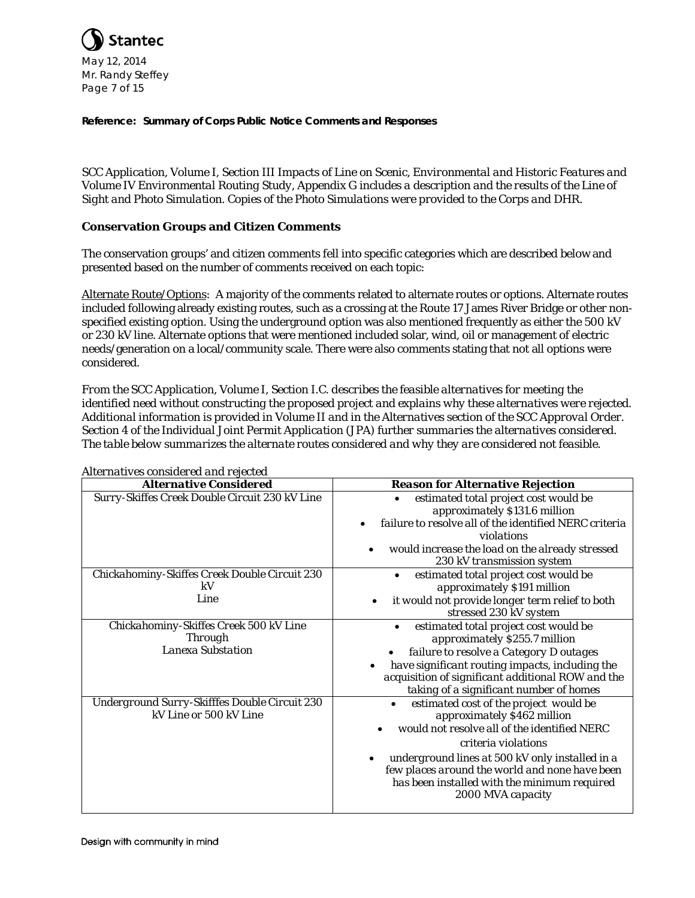

*SCC Application, Volume I, Section III Impacts of Line on Scenic, Environmental and Historic Features and Volume IV Environmental Routing Study, Appendix G includes a description and the results of the Line of Sight and Photo Simulation. Copies of the Photo Simulations were provided to the Corps and DHR.*

# **Conservation Groups and Citizen Comments**

The conservation groups' and citizen comments fell into specific categories which are described below and presented based on the number of comments received on each topic:

Alternate Route/Options: A majority of the comments related to alternate routes or options. Alternate routes included following already existing routes, such as a crossing at the Route 17 James River Bridge or other nonspecified existing option. Using the underground option was also mentioned frequently as either the 500 kV or 230 kV line. Alternate options that were mentioned included solar, wind, oil or management of electric needs/generation on a local/community scale. There were also comments stating that not all options were considered.

*From the SCC Application, Volume I, Section I.C. describes the feasible alternatives for meeting the identified need without constructing the proposed project and explains why these alternatives were rejected. Additional information is provided in Volume II and in the Alternatives section of the SCC Approval Order. Section 4 of the Individual Joint Permit Application (JPA) further summaries the alternatives considered. The table below summarizes the alternate routes considered and why they are considered not feasible.* 

| <b>Alternative Considered</b>                                                        | <b>Reason for Alternative Rejection</b>                                                                                                                                                                                                                                                                                             |
|--------------------------------------------------------------------------------------|-------------------------------------------------------------------------------------------------------------------------------------------------------------------------------------------------------------------------------------------------------------------------------------------------------------------------------------|
| Surry-Skiffes Creek Double Circuit 230 kV Line                                       | estimated total project cost would be<br>approximately \$131.6 million<br>failure to resolve all of the identified NERC criteria<br>violations<br>would increase the load on the already stressed<br>230 kV transmission system                                                                                                     |
| Chickahominy-Skiffes Creek Double Circuit 230<br>kV<br>Line                          | estimated total project cost would be<br>approximately \$191 million<br>it would not provide longer term relief to both<br>stressed 230 kV system                                                                                                                                                                                   |
| Chickahominy-Skiffes Creek 500 kV Line<br><b>Through</b><br><b>Lanexa Substation</b> | estimated total project cost would be<br>approximately \$255.7 million<br>failure to resolve a Category D outages<br>have significant routing impacts, including the<br>acquisition of significant additional ROW and the<br>taking of a significant number of homes                                                                |
| Underground Surry-Skifffes Double Circuit 230<br>kV Line or 500 kV Line              | estimated cost of the project would be<br>$\bullet$<br>approximately \$462 million<br>would not resolve all of the identified NERC<br>criteria violations<br>underground lines at 500 kV only installed in a<br>few places around the world and none have been<br>has been installed with the minimum required<br>2000 MVA capacity |

# *Alternatives considered and rejected*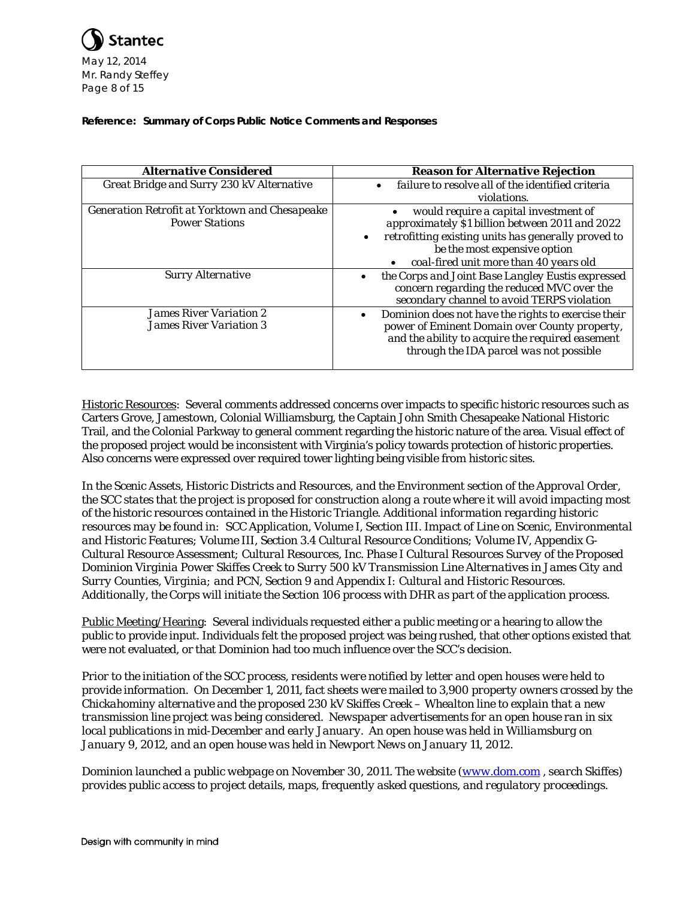

| <b>Alternative Considered</b>                         | <b>Reason for Alternative Rejection</b>                                                                                                       |
|-------------------------------------------------------|-----------------------------------------------------------------------------------------------------------------------------------------------|
|                                                       |                                                                                                                                               |
| Great Bridge and Surry 230 kV Alternative             | failure to resolve all of the identified criteria                                                                                             |
|                                                       | violations.                                                                                                                                   |
| <b>Generation Retrofit at Yorktown and Chesapeake</b> | would require a capital investment of                                                                                                         |
| <b>Power Stations</b>                                 | approximately \$1 billion between 2011 and 2022                                                                                               |
|                                                       | retrofitting existing units has generally proved to<br>$\bullet$                                                                              |
|                                                       | be the most expensive option                                                                                                                  |
|                                                       | coal-fired unit more than 40 years old                                                                                                        |
| <b>Surry Alternative</b>                              | the Corps and Joint Base Langley Eustis expressed<br>concern regarding the reduced MVC over the<br>secondary channel to avoid TERPS violation |
| <b>James River Variation 2</b>                        | Dominion does not have the rights to exercise their                                                                                           |
| <b>James River Variation 3</b>                        | power of Eminent Domain over County property,<br>and the ability to acquire the required easement<br>through the IDA parcel was not possible  |

Historic Resources: Several comments addressed concerns over impacts to specific historic resources such as Carters Grove, Jamestown, Colonial Williamsburg, the Captain John Smith Chesapeake National Historic Trail, and the Colonial Parkway to general comment regarding the historic nature of the area. Visual effect of the proposed project would be inconsistent with Virginia's policy towards protection of historic properties. Also concerns were expressed over required tower lighting being visible from historic sites.

*In the Scenic Assets, Historic Districts and Resources, and the Environment section of the Approval Order, the SCC states that the project is proposed for construction along a route where it will avoid impacting most of the historic resources contained in the Historic Triangle. Additional information regarding historic resources may be found in: SCC Application, Volume I, Section III. Impact of Line on Scenic, Environmental and Historic Features; Volume III, Section 3.4 Cultural Resource Conditions; Volume IV, Appendix G-Cultural Resource Assessment; Cultural Resources, Inc. Phase I Cultural Resources Survey of the Proposed Dominion Virginia Power Skiffes Creek to Surry 500 kV Transmission Line Alternatives in James City and Surry Counties, Virginia; and PCN, Section 9 and Appendix I: Cultural and Historic Resources. Additionally, the Corps will initiate the Section 106 process with DHR as part of the application process.*

Public Meeting/Hearing: Several individuals requested either a public meeting or a hearing to allow the public to provide input. Individuals felt the proposed project was being rushed, that other options existed that were not evaluated, or that Dominion had too much influence over the SCC's decision.

*Prior to the initiation of the SCC process, residents were notified by letter and open houses were held to provide information. On December 1, 2011, fact sheets were mailed to 3,900 property owners crossed by the Chickahominy alternative and the proposed 230 kV Skiffes Creek – Whealton line to explain that a new transmission line project was being considered. Newspaper advertisements for an open house ran in six local publications in mid-December and early January. An open house was held in Williamsburg on January 9, 2012, and an open house was held in Newport News on January 11, 2012.*

*Dominion launched a public webpage on November 30, 2011. The website [\(www.dom.com](http://www.dom.com/), search Skiffes) provides public access to project details, maps, frequently asked questions, and regulatory proceedings.*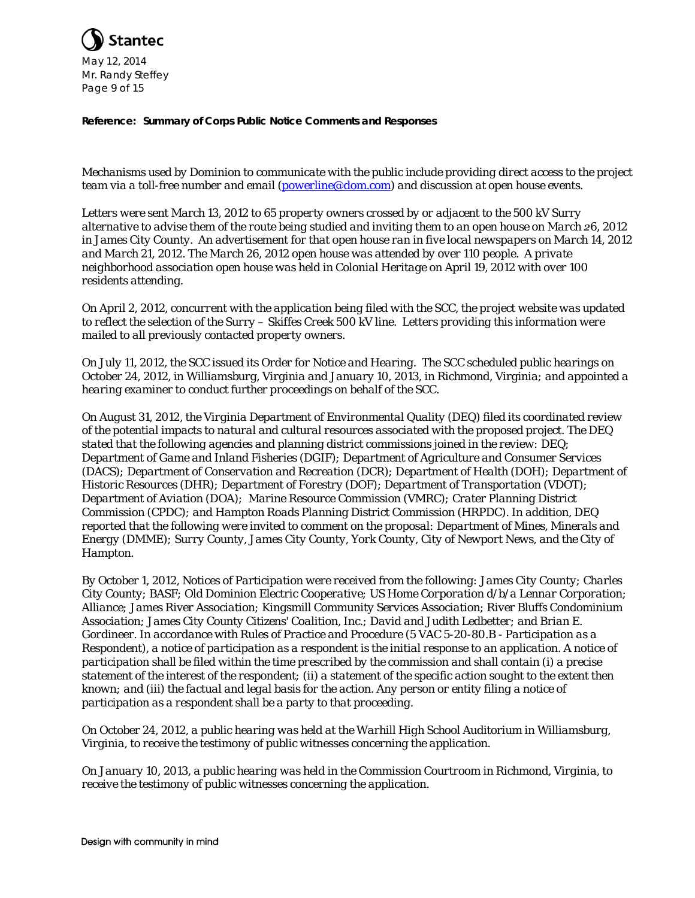

*Mechanisms used by Dominion to communicate with the public include providing direct access to the project team via a toll-free number and email [\(powerline@dom.com\)](mailto:powerline@dom.com) and discussion at open house events.*

*Letters were sent March 13, 2012 to 65 property owners crossed by or adjacent to the 500 kV Surry alternative to advise them of the route being studied and inviting them to an open house on March 26, 2012 in James City County. An advertisement for that open house ran in five local newspapers on March 14, 2012 and March 21, 2012. The March 26, 2012 open house was attended by over 110 people. A private neighborhood association open house was held in Colonial Heritage on April 19, 2012 with over 100 residents attending.*

*On April 2, 2012, concurrent with the application being filed with the SCC, the project website was updated to reflect the selection of the Surry – Skiffes Creek 500 kV line. Letters providing this information were mailed to all previously contacted property owners.*

*On July 11, 2012, the SCC issued its Order for Notice and Hearing. The SCC scheduled public hearings on October 24, 2012, in Williamsburg, Virginia and January 10, 2013, in Richmond, Virginia; and appointed a hearing examiner to conduct further proceedings on behalf of the SCC.*

*On August 31, 2012, the Virginia Department of Environmental Quality (DEQ) filed its coordinated review of the potential impacts to natural and cultural resources associated with the proposed project. The DEQ stated that the following agencies and planning district commissions joined in the review: DEQ; Department of Game and Inland Fisheries (DGIF); Department of Agriculture and Consumer Services (DACS); Department of Conservation and Recreation (DCR); Department of Health (DOH); Department of Historic Resources (DHR); Department of Forestry (DOF); Department of Transportation (VDOT); Department of Aviation (DOA); Marine Resource Commission (VMRC); Crater Planning District Commission (CPDC); and Hampton Roads Planning District Commission (HRPDC). In addition, DEQ reported that the following were invited to comment on the proposal: Department of Mines, Minerals and Energy (DMME); Surry County, James City County, York County, City of Newport News, and the City of Hampton.* 

*By October 1, 2012, Notices of Participation were received from the following: James City County; Charles City County; BASF; Old Dominion Electric Cooperative; US Home Corporation d/b/a Lennar Corporation; Alliance; James River Association; Kingsmill Community Services Association; River Bluffs Condominium Association; James City County Citizens' Coalition, Inc.; David and Judith Ledbetter; and Brian E. Gordineer. In accordance with Rules of Practice and Procedure (5 VAC 5-20-80.B - Participation as a Respondent), a notice of participation as a respondent is the initial response to an application. A notice of participation shall be filed within the time prescribed by the commission and shall contain (i) a precise statement of the interest of the respondent; (ii) a statement of the specific action sought to the extent then known; and (iii) the factual and legal basis for the action. Any person or entity filing a notice of participation as a respondent shall be a party to that proceeding.*

*On October 24, 2012, a public hearing was held at the Warhill High School Auditorium in Williamsburg, Virginia, to receive the testimony of public witnesses concerning the application.* 

*On January 10, 2013, a public hearing was held in the Commission Courtroom in Richmond, Virginia, to receive the testimony of public witnesses concerning the application.*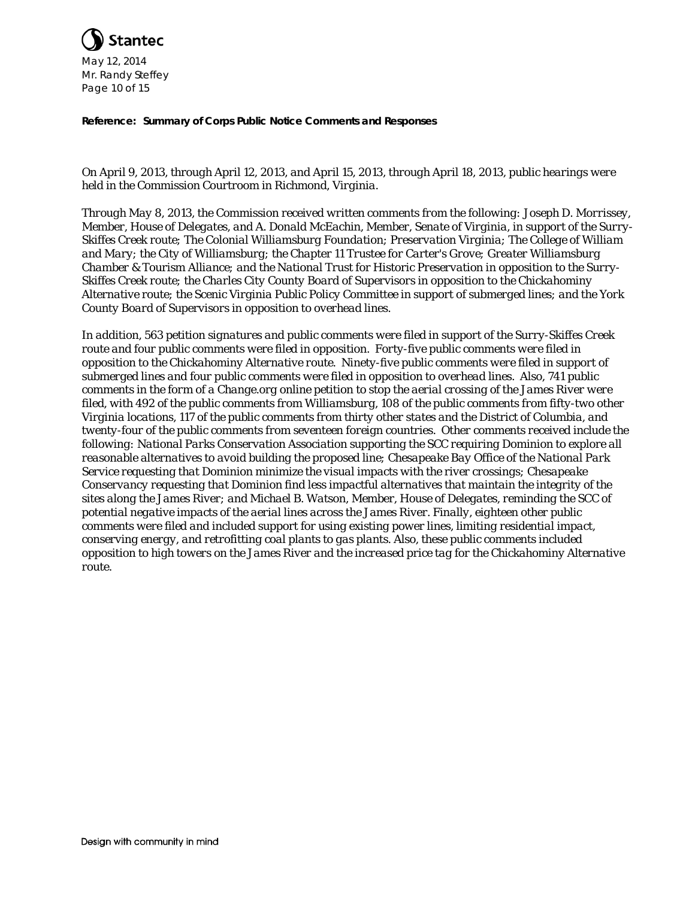

*On April 9, 2013, through April 12, 2013, and April 15, 2013, through April 18, 2013, public hearings were held in the Commission Courtroom in Richmond, Virginia.*

*Through May 8, 2013, the Commission received written comments from the following: Joseph D. Morrissey, Member, House of Delegates, and A. Donald McEachin, Member, Senate of Virginia, in support of the Surry-Skiffes Creek route; The Colonial Williamsburg Foundation; Preservation Virginia; The College of William and Mary; the City of Williamsburg; the Chapter 11 Trustee for Carter's Grove; Greater Williamsburg Chamber & Tourism Alliance; and the National Trust for Historic Preservation in opposition to the Surry-Skiffes Creek route; the Charles City County Board of Supervisors in opposition to the Chickahominy Alternative route; the Scenic Virginia Public Policy Committee in support of submerged lines; and the York County Board of Supervisors in opposition to overhead lines.*

*In addition, 563 petition signatures and public comments were filed in support of the Surry-Skiffes Creek route and four public comments were filed in opposition. Forty-five public comments were filed in opposition to the Chickahominy Alternative route. Ninety-five public comments were filed in support of submerged lines and four public comments were filed in opposition to overhead lines. Also, 741 public comments in the form of a Change.org online petition to stop the aerial crossing of the James River were filed, with 492 of the public comments from Williamsburg, 108 of the public comments from fifty-two other Virginia locations, 117 of the public comments from thirty other states and the District of Columbia, and twenty-four of the public comments from seventeen foreign countries. Other comments received include the following: National Parks Conservation Association supporting the SCC requiring Dominion to explore all reasonable alternatives to avoid building the proposed line; Chesapeake Bay Office of the National Park Service requesting that Dominion minimize the visual impacts with the river crossings; Chesapeake Conservancy requesting that Dominion find less impactful alternatives that maintain the integrity of the sites along the James River; and Michael B. Watson, Member, House of Delegates, reminding the SCC of potential negative impacts of the aerial lines across the James River. Finally, eighteen other public comments were filed and included support for using existing power lines, limiting residential impact, conserving energy, and retrofitting coal plants to gas plants. Also, these public comments included opposition to high towers on the James River and the increased price tag for the Chickahominy Alternative route.*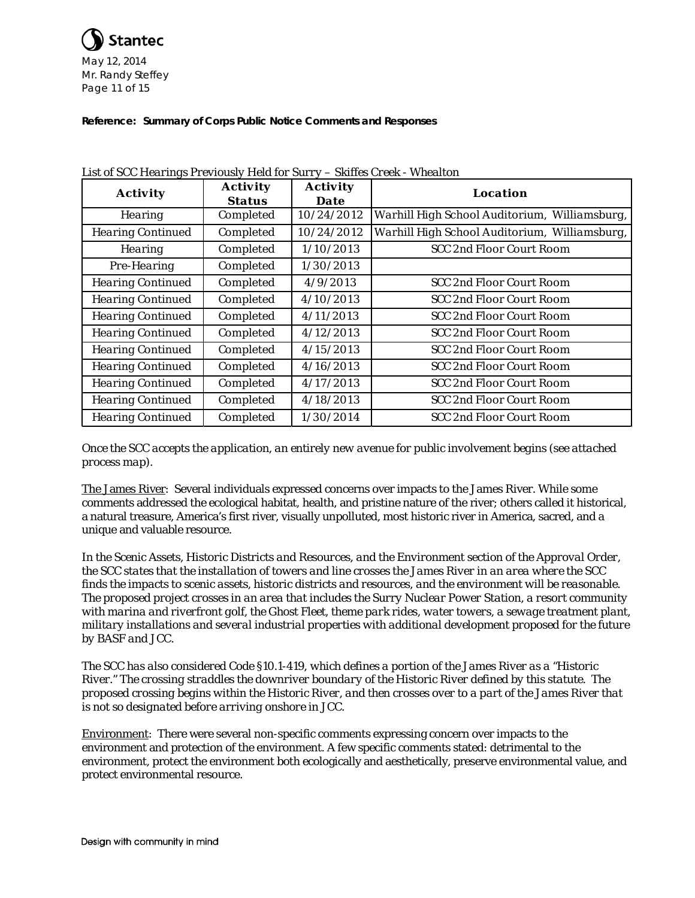

| <b>Activity</b>          | <b>Activity</b><br><b>Status</b> | <b>Activity</b><br><b>Date</b> | <b>Location</b>                               |  |
|--------------------------|----------------------------------|--------------------------------|-----------------------------------------------|--|
| <b>Hearing</b>           | Completed                        | 10/24/2012                     | Warhill High School Auditorium, Williamsburg, |  |
| <b>Hearing Continued</b> | Completed                        | 10/24/2012                     | Warhill High School Auditorium, Williamsburg, |  |
| <b>Hearing</b>           | Completed                        | 1/10/2013                      | <b>SCC 2nd Floor Court Room</b>               |  |
| Pre-Hearing              | Completed                        | 1/30/2013                      |                                               |  |
| <b>Hearing Continued</b> | Completed                        | 4/9/2013                       | <b>SCC 2nd Floor Court Room</b>               |  |
| <b>Hearing Continued</b> | Completed                        | 4/10/2013                      | SCC 2nd Floor Court Room                      |  |
| <b>Hearing Continued</b> | Completed<br>4/11/2013           |                                | SCC 2nd Floor Court Room                      |  |
| <b>Hearing Continued</b> | Completed                        | 4/12/2013                      | SCC 2nd Floor Court Room                      |  |
| <b>Hearing Continued</b> | Completed                        | 4/15/2013                      | <b>SCC 2nd Floor Court Room</b>               |  |
| <b>Hearing Continued</b> | Completed                        | 4/16/2013                      | <b>SCC 2nd Floor Court Room</b>               |  |
| <b>Hearing Continued</b> | Completed                        | 4/17/2013                      | SCC 2nd Floor Court Room                      |  |
| <b>Hearing Continued</b> | Completed                        | 4/18/2013                      | <b>SCC 2nd Floor Court Room</b>               |  |
| <b>Hearing Continued</b> | Completed                        | 1/30/2014                      | <b>SCC 2nd Floor Court Room</b>               |  |

*List of SCC Hearings Previously Held for Surry – Skiffes Creek - Whealton*

*Once the SCC accepts the application, an entirely new avenue for public involvement begins (see attached process map).*

The James River: Several individuals expressed concerns over impacts to the James River. While some comments addressed the ecological habitat, health, and pristine nature of the river; others called it historical, a natural treasure, America's first river, visually unpolluted, most historic river in America, sacred, and a unique and valuable resource.

*In the Scenic Assets, Historic Districts and Resources, and the Environment section of the Approval Order, the SCC states that the installation of towers and line crosses the James River in an area where the SCC finds the impacts to scenic assets, historic districts and resources, and the environment will be reasonable. The proposed project crosses in an area that includes the Surry Nuclear Power Station, a resort community with marina and riverfront golf, the Ghost Fleet, theme park rides, water towers, a sewage treatment plant, military installations and several industrial properties with additional development proposed for the future by BASF and JCC.*

*The SCC has also considered Code §10.1-419, which defines a portion of the James River as a "Historic River." The crossing straddles the downriver boundary of the Historic River defined by this statute. The proposed crossing begins within the Historic River, and then crosses over to a part of the James River that is not so designated before arriving onshore in JCC.*

Environment: There were several non-specific comments expressing concern over impacts to the environment and protection of the environment. A few specific comments stated: detrimental to the environment, protect the environment both ecologically and aesthetically, preserve environmental value, and protect environmental resource.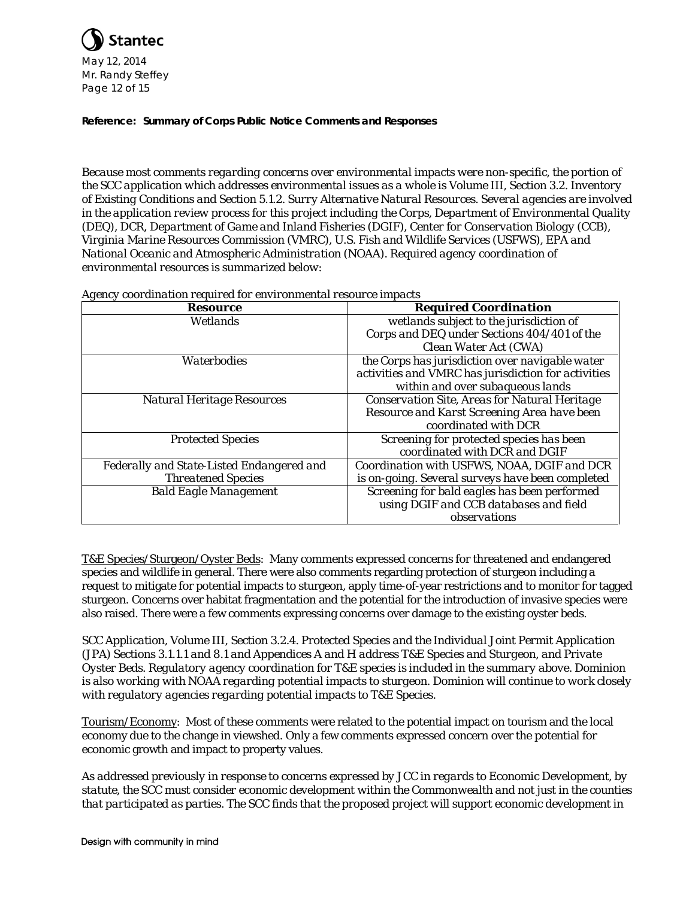

*Because most comments regarding concerns over environmental impacts were non-specific, the portion of the SCC application which addresses environmental issues as a whole is Volume III, Section 3.2. Inventory of Existing Conditions and Section 5.1.2. Surry Alternative Natural Resources. Several agencies are involved in the application review process for this project including the Corps, Department of Environmental Quality (DEQ), DCR, Department of Game and Inland Fisheries (DGIF), Center for Conservation Biology (CCB), Virginia Marine Resources Commission (VMRC), U.S. Fish and Wildlife Services (USFWS), EPA and National Oceanic and Atmospheric Administration (NOAA). Required agency coordination of environmental resources is summarized below:*

| <b>Resource</b>                           | <b>Required Coordination</b>                        |  |
|-------------------------------------------|-----------------------------------------------------|--|
| Wetlands                                  | wetlands subject to the jurisdiction of             |  |
|                                           | Corps and DEQ under Sections 404/401 of the         |  |
|                                           | Clean Water Act (CWA)                               |  |
| Waterbodies                               | the Corps has jurisdiction over navigable water     |  |
|                                           | activities and VMRC has jurisdiction for activities |  |
|                                           | within and over subaqueous lands                    |  |
| <b>Natural Heritage Resources</b>         | Conservation Site, Areas for Natural Heritage       |  |
|                                           | Resource and Karst Screening Area have been         |  |
|                                           | coordinated with DCR                                |  |
| <b>Protected Species</b>                  | Screening for protected species has been            |  |
|                                           | coordinated with DCR and DGIF                       |  |
| Federally and State-Listed Endangered and | Coordination with USFWS, NOAA, DGIF and DCR         |  |
| <b>Threatened Species</b>                 | is on-going. Several surveys have been completed    |  |
| <b>Bald Eagle Management</b>              | Screening for bald eagles has been performed        |  |
|                                           | using DGIF and CCB databases and field              |  |
|                                           | observations                                        |  |

*Agency coordination required for environmental resource impacts*

T&E Species/Sturgeon/Oyster Beds: Many comments expressed concerns for threatened and endangered species and wildlife in general. There were also comments regarding protection of sturgeon including a request to mitigate for potential impacts to sturgeon, apply time-of-year restrictions and to monitor for tagged sturgeon. Concerns over habitat fragmentation and the potential for the introduction of invasive species were also raised. There were a few comments expressing concerns over damage to the existing oyster beds.

*SCC Application, Volume III, Section 3.2.4. Protected Species and the Individual Joint Permit Application (JPA) Sections 3.1.1.1 and 8.1 and Appendices A and H address T&E Species and Sturgeon, and Private Oyster Beds. Regulatory agency coordination for T&E species is included in the summary above. Dominion is also working with NOAA regarding potential impacts to sturgeon. Dominion will continue to work closely with regulatory agencies regarding potential impacts to T&E Species.*

Tourism/Economy: Most of these comments were related to the potential impact on tourism and the local economy due to the change in viewshed. Only a few comments expressed concern over the potential for economic growth and impact to property values.

*As addressed previously in response to concerns expressed by JCC in regards to Economic Development, by statute, the SCC must consider economic development within the Commonwealth and not just in the counties that participated as parties. The SCC finds that the proposed project will support economic development in*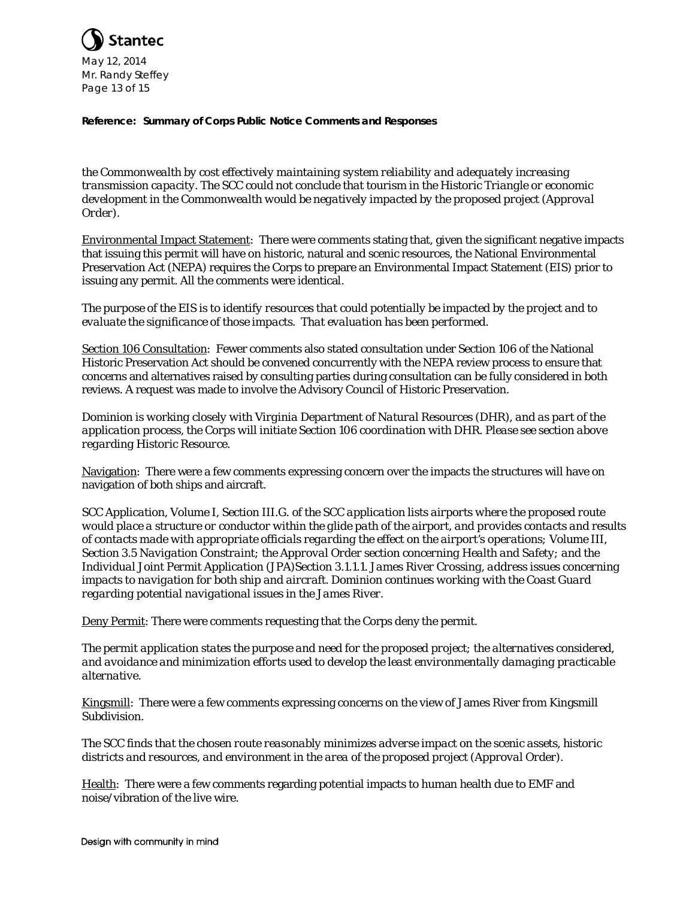

*the Commonwealth by cost effectively maintaining system reliability and adequately increasing transmission capacity. The SCC could not conclude that tourism in the Historic Triangle or economic*  development in the Commonwealth would be negatively impacted by the proposed project (Approval *Order).* 

Environmental Impact Statement: There were comments stating that, given the significant negative impacts that issuing this permit will have on historic, natural and scenic resources, the National Environmental Preservation Act (NEPA) requires the Corps to prepare an Environmental Impact Statement (EIS) prior to issuing any permit. All the comments were identical.

*The purpose of the EIS is to identify resources that could potentially be impacted by the project and to evaluate the significance of those impacts. That evaluation has been performed.*

Section 106 Consultation: Fewer comments also stated consultation under Section 106 of the National Historic Preservation Act should be convened concurrently with the NEPA review process to ensure that concerns and alternatives raised by consulting parties during consultation can be fully considered in both reviews. A request was made to involve the Advisory Council of Historic Preservation.

*Dominion is working closely with Virginia Department of Natural Resources (DHR), and as part of the application process, the Corps will initiate Section 106 coordination with DHR. Please see section above regarding Historic Resource.*

Navigation: There were a few comments expressing concern over the impacts the structures will have on navigation of both ships and aircraft.

*SCC Application, Volume I, Section III.G. of the SCC application lists airports where the proposed route would place a structure or conductor within the glide path of the airport, and provides contacts and results of contacts made with appropriate officials regarding the effect on the airport's operations; Volume III, Section 3.5 Navigation Constraint; the Approval Order section concerning Health and Safety; and the Individual Joint Permit Application (JPA)Section 3.1.1.1. James River Crossing, address issues concerning impacts to navigation for both ship and aircraft. Dominion continues working with the Coast Guard regarding potential navigational issues in the James River.*

Deny Permit: There were comments requesting that the Corps deny the permit.

*The permit application states the purpose and need for the proposed project; the alternatives considered, and avoidance and minimization efforts used to develop the least environmentally damaging practicable alternative.*

Kingsmill: There were a few comments expressing concerns on the view of James River from Kingsmill Subdivision.

*The SCC finds that the chosen route reasonably minimizes adverse impact on the scenic assets, historic districts and resources, and environment in the area of the proposed project (Approval Order).*

Health: There were a few comments regarding potential impacts to human health due to EMF and noise/vibration of the live wire.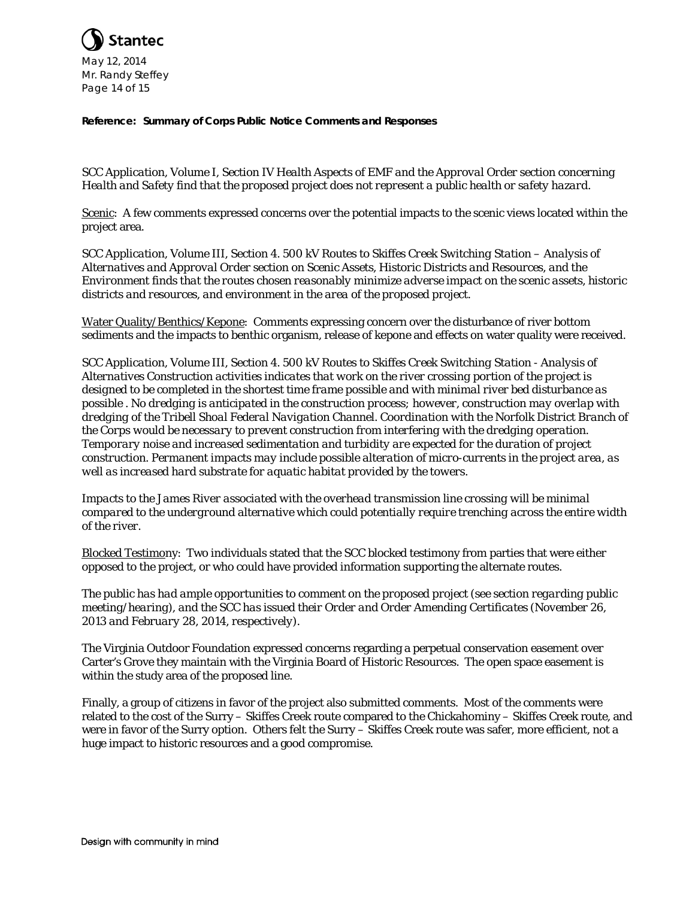

*SCC Application, Volume I, Section IV Health Aspects of EMF and the Approval Order section concerning Health and Safety find that the proposed project does not represent a public health or safety hazard.*

Scenic: A few comments expressed concerns over the potential impacts to the scenic views located within the project area.

*SCC Application, Volume III, Section 4. 500 kV Routes to Skiffes Creek Switching Station – Analysis of Alternatives and Approval Order section on Scenic Assets, Historic Districts and Resources, and the Environment finds that the routes chosen reasonably minimize adverse impact on the scenic assets, historic districts and resources, and environment in the area of the proposed project.* 

Water Quality/Benthics/Kepone: Comments expressing concern over the disturbance of river bottom sediments and the impacts to benthic organism, release of kepone and effects on water quality were received.

*SCC Application, Volume III, Section 4. 500 kV Routes to Skiffes Creek Switching Station - Analysis of Alternatives Construction activities indicates that work on the river crossing portion of the project is designed to be completed in the shortest time frame possible and with minimal river bed disturbance as possible . No dredging is anticipated in the construction process; however, construction may overlap with dredging of the Tribell Shoal Federal Navigation Channel. Coordination with the Norfolk District Branch of the Corps would be necessary to prevent construction from interfering with the dredging operation. Temporary noise and increased sedimentation and turbidity are expected for the duration of project construction. Permanent impacts may include possible alteration of micro-currents in the project area, as well as increased hard substrate for aquatic habitat provided by the towers.*

*Impacts to the James River associated with the overhead transmission line crossing will be minimal compared to the underground alternative which could potentially require trenching across the entire width of the river.*

Blocked Testimony: Two individuals stated that the SCC blocked testimony from parties that were either opposed to the project, or who could have provided information supporting the alternate routes.

*The public has had ample opportunities to comment on the proposed project (see section regarding public meeting/hearing), and the SCC has issued their Order and Order Amending Certificates (November 26, 2013 and February 28, 2014, respectively).*

The Virginia Outdoor Foundation expressed concerns regarding a perpetual conservation easement over Carter's Grove they maintain with the Virginia Board of Historic Resources. The open space easement is within the study area of the proposed line.

Finally, a group of citizens in favor of the project also submitted comments. Most of the comments were related to the cost of the Surry – Skiffes Creek route compared to the Chickahominy – Skiffes Creek route, and were in favor of the Surry option. Others felt the Surry – Skiffes Creek route was safer, more efficient, not a huge impact to historic resources and a good compromise.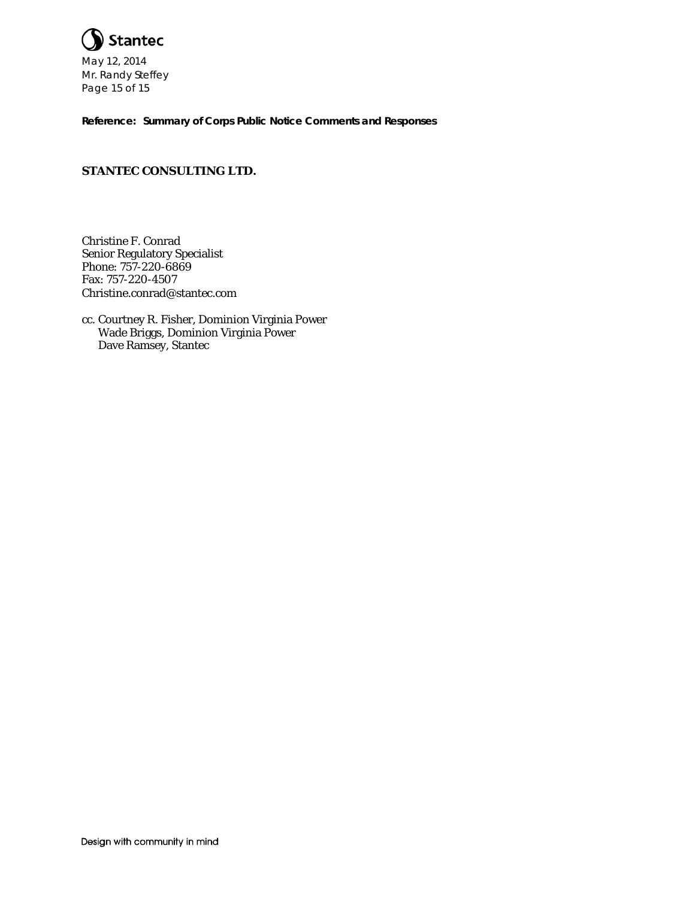

# **STANTEC CONSULTING LTD.**

Christine F. Conrad Senior Regulatory Specialist Phone: 757-220-6869 Fax: 757-220-4507 Christine.conrad@stantec.com

cc. Courtney R. Fisher, Dominion Virginia Power Wade Briggs, Dominion Virginia Power Dave Ramsey, Stantec